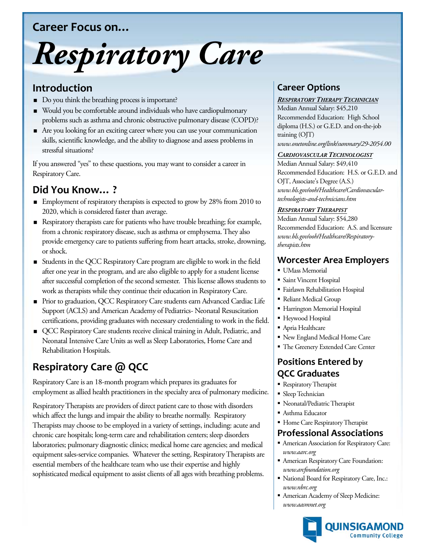## **Career Focus on…**

# *Respiratory Care*

## **Introduction**

- Do you think the breathing process is important?
- Would you be comfortable around individuals who have cardiopulmonary problems such as asthma and chronic obstructive pulmonary disease (COPD)?
- Are you looking for an exciting career where you can use your communication skills, scientific knowledge, and the ability to diagnose and assess problems in stressful situations?

If you answered "yes" to these questions, you may want to consider a career in Respiratory Care.

## **Did You Know… ?**

- **Employment of respiratory therapists is expected to grow by 28% from 2010 to** 2020, which is considered faster than average.
- Respiratory therapists care for patients who have trouble breathing; for example, from a chronic respiratory disease, such as asthma or emphysema. They also provide emergency care to patients suffering from heart attacks, stroke, drowning, or shock.
- Students in the QCC Respiratory Care program are eligible to work in the field after one year in the program, and are also eligible to apply for a student license after successful completion of the second semester. This license allows students to work as therapists while they continue their education in Respiratory Care.
- Prior to graduation, QCC Respiratory Care students earn Advanced Cardiac Life Support (ACLS) and American Academy of Pediatrics- Neonatal Resuscitation certifications, providing graduates with necessary credentialing to work in the field.
- QCC Respiratory Care students receive clinical training in Adult, Pediatric, and Neonatal Intensive Care Units as well as Sleep Laboratories, Home Care and Rehabilitation Hospitals.

# **Respiratory Care @ QCC**

Respiratory Care is an 18-month program which prepares its graduates for employment as allied health practitioners in the specialty area of pulmonary medicine.

Respiratory Therapists are providers of direct patient care to those with disorders which affect the lungs and impair the ability to breathe normally. Respiratory Therapists may choose to be employed in a variety of settings, including: acute and chronic care hospitals; long-term care and rehabilitation centers; sleep disorders laboratories; pulmonary diagnostic clinics; medical home care agencies; and medical equipment sales-service companies. Whatever the setting, Respiratory Therapists are essential members of the healthcare team who use their expertise and highly sophisticated medical equipment to assist clients of all ages with breathing problems.

## **Career Options**

#### *RESPIRATORY THERAPY TECHNICIAN*

Median Annual Salary: \$45,210 Recommended Education: High School diploma (H.S.) or G.E.D. and on-the-job training (OJT) *www.onetonline.org/link/summary/29-2054.00*

#### *CARDIOVASCULAR TECHNOLOGIST*

Median Annual Salary: \$49,410 Recommended Education: H.S. or G.E.D. and OJT, Associate's Degree (A.S.) *www.bls.gov/ooh/Healthcare/Cardiovasculartechnologists-and-technicians.htm*

#### *RESPIRATORY THERAPIST*

Median Annual Salary: \$54,280 Recommended Education: A.S. and licensure *www.bls.gov/ooh/Healthcare/Respiratorytherapists.htm*

### **Worcester Area Employers**

- UMass Memorial
- Saint Vincent Hospital
- Fairlawn Rehabilitation Hospital
- Reliant Medical Group
- Harrington Memorial Hospital
- Heywood Hospital
- Apria Healthcare
- New England Medical Home Care
- The Greenery Extended Care Center

## **Positions Entered by QCC Graduates**

- **Respiratory Therapist**
- **Sleep Technician**
- Neonatal/Pediatric Therapist
- Asthma Educator
- **Home Care Respiratory Therapist**

## **Professional Associations**

- American Association for Respiratory Care: *www.aarc.org*
- American Respiratory Care Foundation: *www.arcfoundation.org*
- National Board for Respiratory Care, Inc.: *www.nbrc.org*
- American Academy of Sleep Medicine: *www.aasmnet.org*